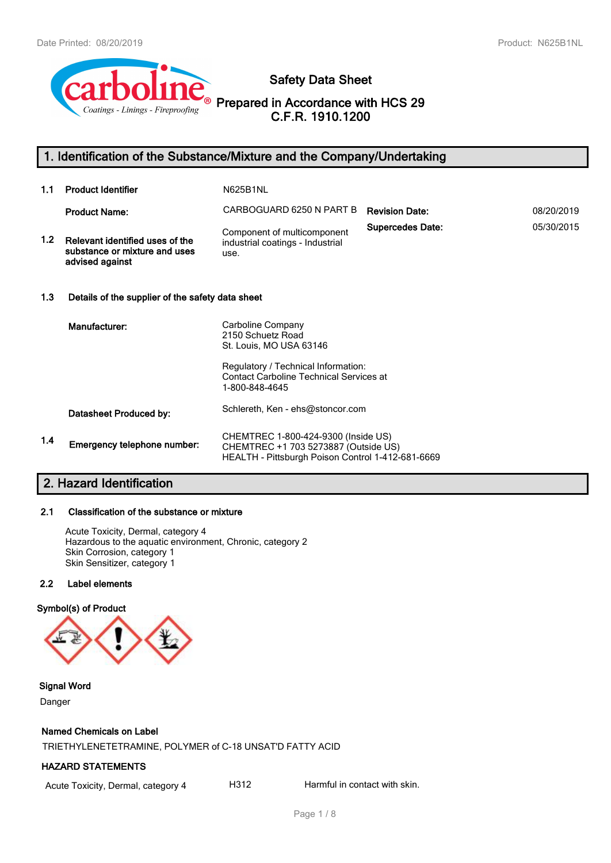

# **Safety Data Sheet**

**Prepared in Accordance with HCS 29 C.F.R. 1910.1200**

# **1. Identification of the Substance/Mixture and the Company/Undertaking**

| 1.1 | <b>Product Identifier</b>                                                           | <b>N625B1NL</b>                                                                                                                  |                         |            |  |
|-----|-------------------------------------------------------------------------------------|----------------------------------------------------------------------------------------------------------------------------------|-------------------------|------------|--|
|     | <b>Product Name:</b>                                                                | CARBOGUARD 6250 N PART B                                                                                                         | <b>Revision Date:</b>   | 08/20/2019 |  |
| 1.2 | Relevant identified uses of the<br>substance or mixture and uses<br>advised against | Component of multicomponent<br>industrial coatings - Industrial<br>use.                                                          | <b>Supercedes Date:</b> | 05/30/2015 |  |
| 1.3 | Details of the supplier of the safety data sheet                                    |                                                                                                                                  |                         |            |  |
|     | Manufacturer:                                                                       | Carboline Company<br>2150 Schuetz Road<br>St. Louis, MO USA 63146                                                                |                         |            |  |
|     |                                                                                     | Regulatory / Technical Information:<br><b>Contact Carboline Technical Services at</b><br>1-800-848-4645                          |                         |            |  |
|     | Datasheet Produced by:                                                              | Schlereth, Ken - ehs@stoncor.com                                                                                                 |                         |            |  |
| 1.4 | Emergency telephone number:                                                         | CHEMTREC 1-800-424-9300 (Inside US)<br>CHEMTREC +1 703 5273887 (Outside US)<br>HEALTH - Pittsburgh Poison Control 1-412-681-6669 |                         |            |  |

# **2. Hazard Identification**

# **2.1 Classification of the substance or mixture**

Acute Toxicity, Dermal, category 4 Hazardous to the aquatic environment, Chronic, category 2 Skin Corrosion, category 1 Skin Sensitizer, category 1

# **2.2 Label elements**

# **Symbol(s) of Product**



**Signal Word**

Danger

# **Named Chemicals on Label**

TRIETHYLENETETRAMINE, POLYMER of C-18 UNSAT'D FATTY ACID

# **HAZARD STATEMENTS**

Acute Toxicity, Dermal, category 4 H312 Harmful in contact with skin.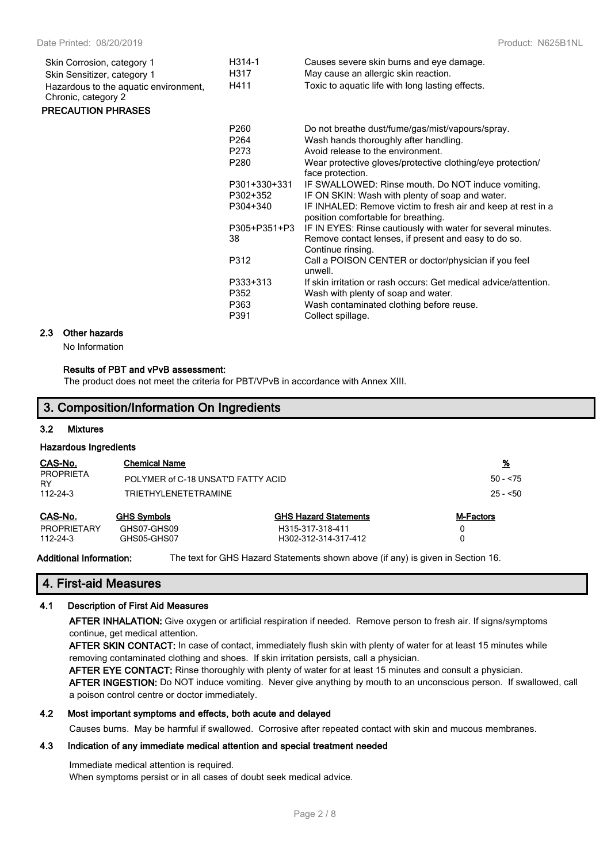| Skin Corrosion, category 1                                   | H314-1           | Causes severe skin burns and eye damage.                                                            |
|--------------------------------------------------------------|------------------|-----------------------------------------------------------------------------------------------------|
| Skin Sensitizer, category 1                                  | H317             | May cause an allergic skin reaction.                                                                |
| Hazardous to the aquatic environment,<br>Chronic, category 2 | H411             | Toxic to aquatic life with long lasting effects.                                                    |
| <b>PRECAUTION PHRASES</b>                                    |                  |                                                                                                     |
|                                                              | P260             | Do not breathe dust/fume/gas/mist/vapours/spray.                                                    |
|                                                              | P <sub>264</sub> | Wash hands thoroughly after handling.                                                               |
|                                                              | P273             | Avoid release to the environment.                                                                   |
|                                                              | P280             | Wear protective gloves/protective clothing/eye protection/<br>face protection.                      |
|                                                              | P301+330+331     | IF SWALLOWED: Rinse mouth. Do NOT induce vomiting.                                                  |
|                                                              | P302+352         | IF ON SKIN: Wash with plenty of soap and water.                                                     |
|                                                              | P304+340         | IF INHALED: Remove victim to fresh air and keep at rest in a<br>position comfortable for breathing. |
|                                                              | P305+P351+P3     | IF IN EYES: Rinse cautiously with water for several minutes.                                        |
|                                                              | 38               | Remove contact lenses, if present and easy to do so.<br>Continue rinsing.                           |
|                                                              | P312             | Call a POISON CENTER or doctor/physician if you feel<br>unwell.                                     |
|                                                              | P333+313         | If skin irritation or rash occurs: Get medical advice/attention.                                    |
|                                                              | P352             | Wash with plenty of soap and water.                                                                 |
|                                                              | P363             | Wash contaminated clothing before reuse.                                                            |
|                                                              | P391             | Collect spillage.                                                                                   |

#### **2.3 Other hazards**

No Information

#### **Results of PBT and vPvB assessment:**

The product does not meet the criteria for PBT/VPvB in accordance with Annex XIII.

# **3. Composition/Information On Ingredients**

#### **3.2 Mixtures**

#### **Hazardous Ingredients**

| CAS-No.                              | <b>Chemical Name</b>               |                                          | <u>%</u>         |
|--------------------------------------|------------------------------------|------------------------------------------|------------------|
| PROPRIETA<br>RY                      | POLYMER of C-18 UNSAT'D FATTY ACID |                                          | $50 - 575$       |
| 112-24-3                             | <b>TRIETHYLENETETRAMINE</b>        |                                          |                  |
| CAS-No.                              | <b>GHS Symbols</b>                 | <b>GHS Hazard Statements</b>             | <b>M-Factors</b> |
| <b>PROPRIETARY</b><br>$112 - 24 - 3$ | GHS07-GHS09<br>GHS05-GHS07         | H315-317-318-411<br>H302-312-314-317-412 |                  |

**Additional Information:** The text for GHS Hazard Statements shown above (if any) is given in Section 16.

#### **4. First-aid Measures**

#### **4.1 Description of First Aid Measures**

**AFTER INHALATION:** Give oxygen or artificial respiration if needed. Remove person to fresh air. If signs/symptoms continue, get medical attention.

**AFTER SKIN CONTACT:** In case of contact, immediately flush skin with plenty of water for at least 15 minutes while removing contaminated clothing and shoes. If skin irritation persists, call a physician.

**AFTER EYE CONTACT:** Rinse thoroughly with plenty of water for at least 15 minutes and consult a physician.

**AFTER INGESTION:** Do NOT induce vomiting. Never give anything by mouth to an unconscious person. If swallowed, call a poison control centre or doctor immediately.

#### **4.2 Most important symptoms and effects, both acute and delayed**

Causes burns. May be harmful if swallowed. Corrosive after repeated contact with skin and mucous membranes.

# **4.3 Indication of any immediate medical attention and special treatment needed**

Immediate medical attention is required.

When symptoms persist or in all cases of doubt seek medical advice.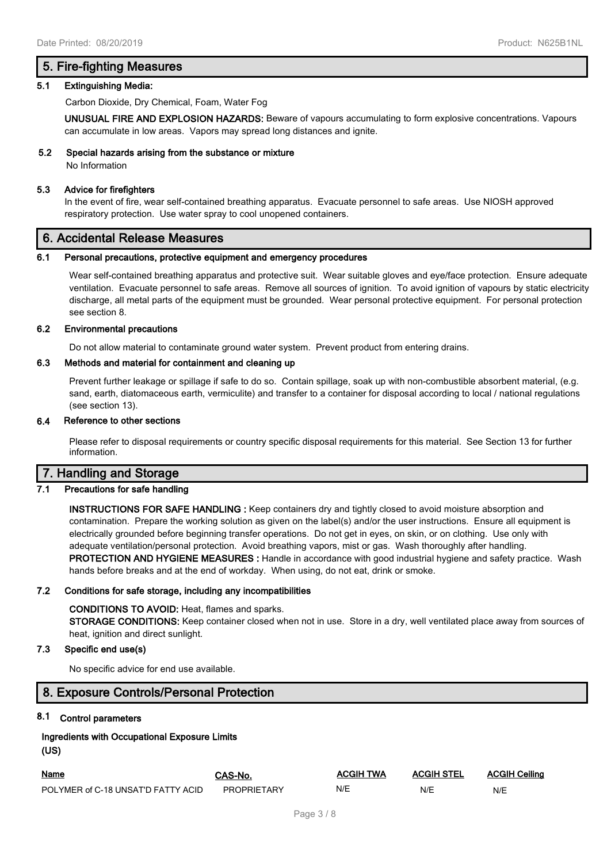# **5. Fire-fighting Measures**

#### **5.1 Extinguishing Media:**

Carbon Dioxide, Dry Chemical, Foam, Water Fog

**UNUSUAL FIRE AND EXPLOSION HAZARDS:** Beware of vapours accumulating to form explosive concentrations. Vapours can accumulate in low areas. Vapors may spread long distances and ignite.

#### **5.2 Special hazards arising from the substance or mixture**

No Information

#### **5.3 Advice for firefighters**

In the event of fire, wear self-contained breathing apparatus. Evacuate personnel to safe areas. Use NIOSH approved respiratory protection. Use water spray to cool unopened containers.

# **6. Accidental Release Measures**

#### **6.1 Personal precautions, protective equipment and emergency procedures**

Wear self-contained breathing apparatus and protective suit. Wear suitable gloves and eye/face protection. Ensure adequate ventilation. Evacuate personnel to safe areas. Remove all sources of ignition. To avoid ignition of vapours by static electricity discharge, all metal parts of the equipment must be grounded. Wear personal protective equipment. For personal protection see section 8.

#### **6.2 Environmental precautions**

Do not allow material to contaminate ground water system. Prevent product from entering drains.

#### **6.3 Methods and material for containment and cleaning up**

Prevent further leakage or spillage if safe to do so. Contain spillage, soak up with non-combustible absorbent material, (e.g. sand, earth, diatomaceous earth, vermiculite) and transfer to a container for disposal according to local / national regulations (see section 13).

#### **6.4 Reference to other sections**

Please refer to disposal requirements or country specific disposal requirements for this material. See Section 13 for further information.

# **7. Handling and Storage**

#### **7.1 Precautions for safe handling**

**INSTRUCTIONS FOR SAFE HANDLING :** Keep containers dry and tightly closed to avoid moisture absorption and contamination. Prepare the working solution as given on the label(s) and/or the user instructions. Ensure all equipment is electrically grounded before beginning transfer operations. Do not get in eyes, on skin, or on clothing. Use only with adequate ventilation/personal protection. Avoid breathing vapors, mist or gas. Wash thoroughly after handling. **PROTECTION AND HYGIENE MEASURES :** Handle in accordance with good industrial hygiene and safety practice. Wash hands before breaks and at the end of workday. When using, do not eat, drink or smoke.

#### **7.2 Conditions for safe storage, including any incompatibilities**

#### **CONDITIONS TO AVOID:** Heat, flames and sparks.

**STORAGE CONDITIONS:** Keep container closed when not in use. Store in a dry, well ventilated place away from sources of heat, ignition and direct sunlight.

# **7.3 Specific end use(s)**

No specific advice for end use available.

# **8. Exposure Controls/Personal Protection**

# **8.1 Control parameters**

| Ingredients with Occupational Exposure Limits |  |
|-----------------------------------------------|--|
| (US)                                          |  |

| Name                               | <b>CAS-No</b>      | <b>ACGIH TWA</b> | <b>ACGIH STEL</b> | <b>ACGIH Ceiling</b> |
|------------------------------------|--------------------|------------------|-------------------|----------------------|
| POLYMER of C-18 UNSAT'D FATTY ACID | <b>PROPRIFTARY</b> | N/E              | N/E               | N/E                  |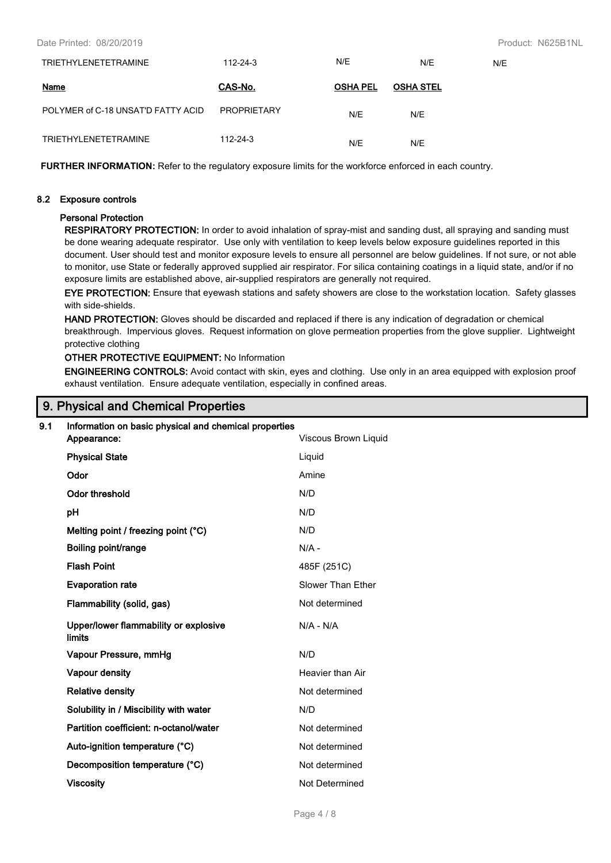| TRIETHYLENETETRAMINE               | 112-24-3           | N/E             | N/E              | N/E |
|------------------------------------|--------------------|-----------------|------------------|-----|
| Name                               | CAS-No.            | <b>OSHA PEL</b> | <b>OSHA STEL</b> |     |
| POLYMER of C-18 UNSAT'D FATTY ACID | <b>PROPRIETARY</b> | N/E             | N/E              |     |
| <b>TRIETHYLENETETRAMINE</b>        | 112-24-3           | N/E             | N/E              |     |

**FURTHER INFORMATION:** Refer to the regulatory exposure limits for the workforce enforced in each country.

#### **8.2 Exposure controls**

## **Personal Protection**

**RESPIRATORY PROTECTION:** In order to avoid inhalation of spray-mist and sanding dust, all spraying and sanding must be done wearing adequate respirator. Use only with ventilation to keep levels below exposure guidelines reported in this document. User should test and monitor exposure levels to ensure all personnel are below guidelines. If not sure, or not able to monitor, use State or federally approved supplied air respirator. For silica containing coatings in a liquid state, and/or if no exposure limits are established above, air-supplied respirators are generally not required.

**EYE PROTECTION:** Ensure that eyewash stations and safety showers are close to the workstation location. Safety glasses with side-shields.

**HAND PROTECTION:** Gloves should be discarded and replaced if there is any indication of degradation or chemical breakthrough. Impervious gloves. Request information on glove permeation properties from the glove supplier. Lightweight protective clothing

# **OTHER PROTECTIVE EQUIPMENT:** No Information

**ENGINEERING CONTROLS:** Avoid contact with skin, eyes and clothing. Use only in an area equipped with explosion proof exhaust ventilation. Ensure adequate ventilation, especially in confined areas.

# **9. Physical and Chemical Properties**

| 9.1 | Information on basic physical and chemical properties<br>Appearance: | Viscous Brown Liquid |
|-----|----------------------------------------------------------------------|----------------------|
|     | <b>Physical State</b>                                                | Liquid               |
|     | Odor                                                                 | Amine                |
|     | <b>Odor threshold</b>                                                | N/D                  |
|     | pH                                                                   | N/D                  |
|     | Melting point / freezing point (°C)                                  | N/D                  |
|     | Boiling point/range                                                  | $N/A -$              |
|     | <b>Flash Point</b>                                                   | 485F (251C)          |
|     | <b>Evaporation rate</b>                                              | Slower Than Ether    |
|     | Flammability (solid, gas)                                            | Not determined       |
|     | Upper/lower flammability or explosive<br>limits                      | $N/A - N/A$          |
|     | Vapour Pressure, mmHg                                                | N/D                  |
|     | Vapour density                                                       | Heavier than Air     |
|     | <b>Relative density</b>                                              | Not determined       |
|     | Solubility in / Miscibility with water                               | N/D                  |
|     | Partition coefficient: n-octanol/water                               | Not determined       |
|     | Auto-ignition temperature (°C)                                       | Not determined       |
|     | Decomposition temperature (°C)                                       | Not determined       |
|     | <b>Viscosity</b>                                                     | Not Determined       |
|     |                                                                      |                      |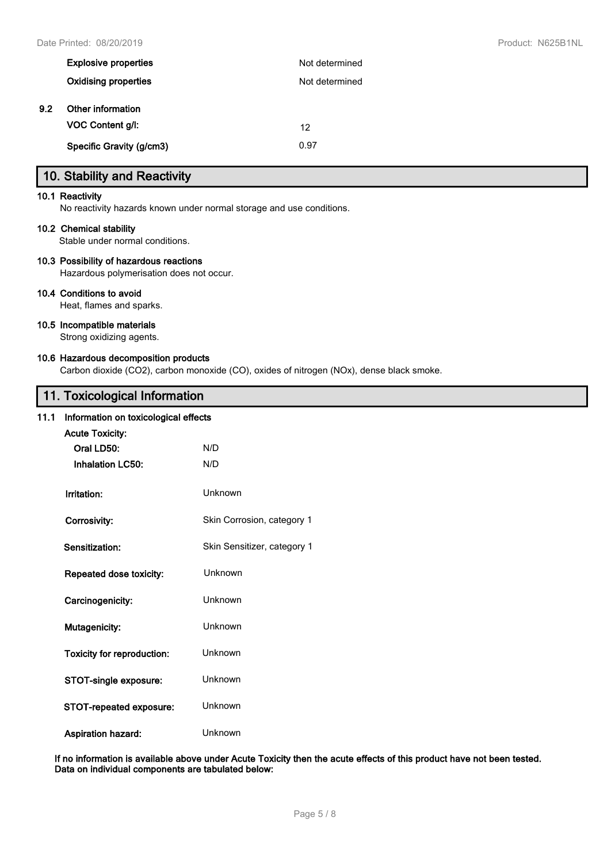|     | <b>Explosive properties</b> | Not determined |
|-----|-----------------------------|----------------|
|     | Oxidising properties        | Not determined |
| 9.2 | Other information           |                |
|     | <b>VOC Content g/l:</b>     | 12             |
|     | Specific Gravity (g/cm3)    | 0.97           |

# **10. Stability and Reactivity**

#### **10.1 Reactivity**

No reactivity hazards known under normal storage and use conditions.

#### **10.2 Chemical stability**

Stable under normal conditions.

#### **10.3 Possibility of hazardous reactions**

Hazardous polymerisation does not occur.

#### **10.4 Conditions to avoid**

Heat, flames and sparks.

#### **10.5 Incompatible materials**

Strong oxidizing agents.

#### **10.6 Hazardous decomposition products**

Carbon dioxide (CO2), carbon monoxide (CO), oxides of nitrogen (NOx), dense black smoke.

# **11. Toxicological Information**

#### **11.1 Information on toxicological effects**

| Information on toxicological effects |                             |  |  |  |
|--------------------------------------|-----------------------------|--|--|--|
| <b>Acute Toxicity:</b>               |                             |  |  |  |
| Oral LD50:                           | N/D                         |  |  |  |
| <b>Inhalation LC50:</b>              | N/D                         |  |  |  |
| Irritation:                          | Unknown                     |  |  |  |
| Corrosivity:                         | Skin Corrosion, category 1  |  |  |  |
| Sensitization:                       | Skin Sensitizer, category 1 |  |  |  |
| <b>Repeated dose toxicity:</b>       | Unknown                     |  |  |  |
| Carcinogenicity:                     | Unknown                     |  |  |  |
| Mutagenicity:                        | Unknown                     |  |  |  |
| <b>Toxicity for reproduction:</b>    | <b>Unknown</b>              |  |  |  |
| STOT-single exposure:                | Unknown                     |  |  |  |
| STOT-repeated exposure:              | Unknown                     |  |  |  |
| Aspiration hazard:                   | Unknown                     |  |  |  |

**If no information is available above under Acute Toxicity then the acute effects of this product have not been tested. Data on individual components are tabulated below:**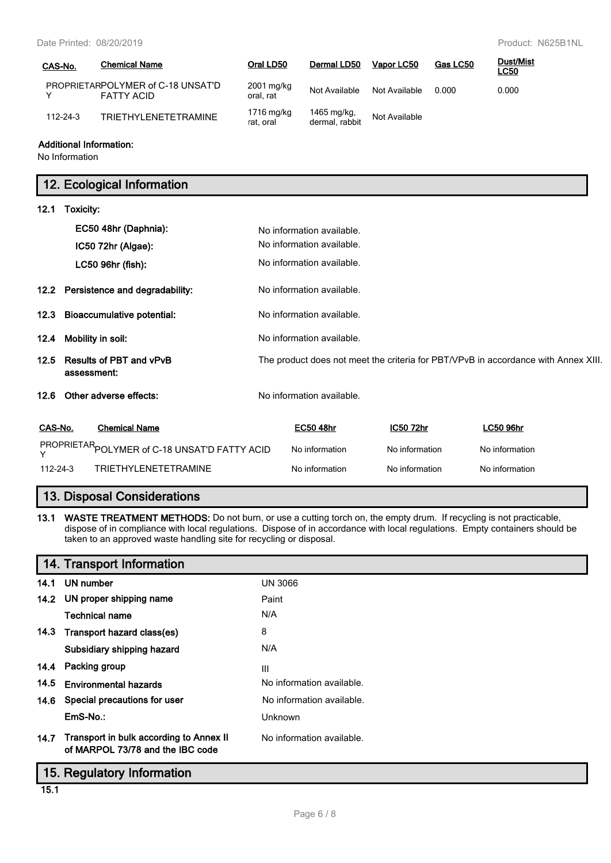Date Printed: 08/20/2019 Product: N625B1NL

| CAS-No.        | <b>Chemical Name</b>                                   | Oral LD50               | Dermal LD50                   | Vapor LC50    | Gas LC50 | Dust/Mist<br><u>LC50</u> |
|----------------|--------------------------------------------------------|-------------------------|-------------------------------|---------------|----------|--------------------------|
|                | PROPRIETARPOLYMER of C-18 UNSAT'D<br><b>FATTY ACID</b> | 2001 mg/kg<br>oral, rat | Not Available                 | Not Available | 0.000    | 0.000                    |
| $112 - 24 - 3$ | TRIFTHYI FNFTFTRAMINF                                  | 1716 mg/kg<br>rat, oral | 1465 mg/kg,<br>dermal, rabbit | Not Available |          |                          |

# **Additional Information:**

No Information

# **12. Ecological Information**

# **12.1 Toxicity: EC50 48hr (Daphnia):** No information available. No information available. **IC50 72hr (Algae):** LC50 96hr (fish): No information available. **12.2 Persistence and degradability:** No information available. **12.3 Bioaccumulative potential:** No information available. **12.4 Mobility in soil:** No information available. **12.5 Results of PBT and vPvB assessment:** The product does not meet the criteria for PBT/VPvB in accordance with Annex XIII. **12.6** Other adverse effects: No information available.

| CAS-No.  | <b>Chemical Name</b>                          | <b>EC50 48hr</b> | IC50 72hr      | <b>LC50 96hr</b> |
|----------|-----------------------------------------------|------------------|----------------|------------------|
|          | PROPRIETAR POLYMER of C-18 UNSAT'D FATTY ACID | No information   | No information | No information   |
| 112-24-3 | TRIFTHYI FNFTFTRAMINF                         | No information   | No information | No information   |

# **13. Disposal Considerations**

**13.1 WASTE TREATMENT METHODS:** Do not burn, or use a cutting torch on, the empty drum. If recycling is not practicable, dispose of in compliance with local regulations. Dispose of in accordance with local regulations. Empty containers should be taken to an approved waste handling site for recycling or disposal.

|                            | 14. Transport Information                                                        |                           |  |
|----------------------------|----------------------------------------------------------------------------------|---------------------------|--|
|                            | 14.1 UN number                                                                   | <b>UN 3066</b>            |  |
|                            | 14.2 UN proper shipping name                                                     | Paint                     |  |
|                            | <b>Technical name</b>                                                            | N/A                       |  |
|                            | 14.3 Transport hazard class(es)                                                  | 8                         |  |
|                            | Subsidiary shipping hazard                                                       | N/A                       |  |
|                            | 14.4 Packing group                                                               | Ш                         |  |
| 14.5                       | <b>Environmental hazards</b>                                                     | No information available. |  |
|                            | 14.6 Special precautions for user                                                | No information available. |  |
|                            | EmS-No.:                                                                         | Unknown                   |  |
|                            | 14.7 Transport in bulk according to Annex II<br>of MARPOL 73/78 and the IBC code | No information available. |  |
| 15. Regulatory Information |                                                                                  |                           |  |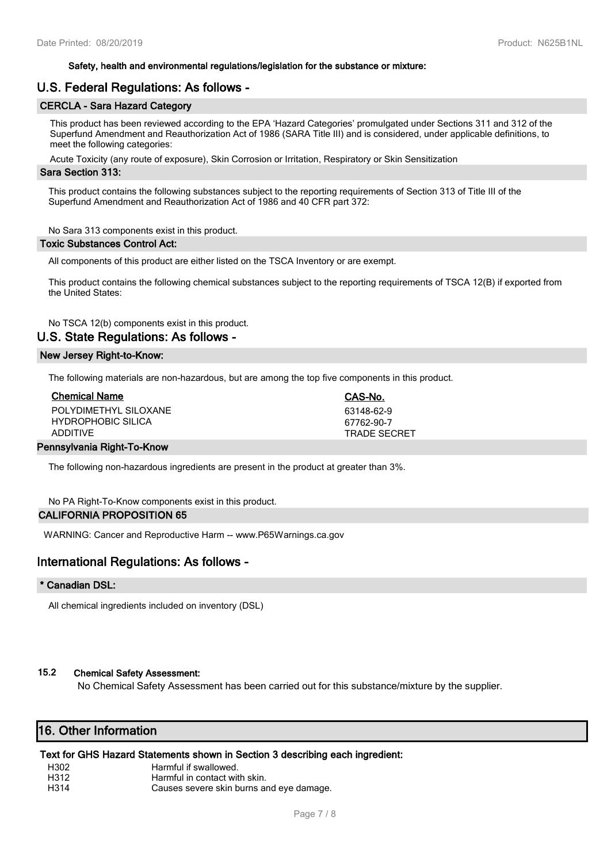#### **Safety, health and environmental regulations/legislation for the substance or mixture:**

# **U.S. Federal Regulations: As follows -**

# **CERCLA - Sara Hazard Category**

This product has been reviewed according to the EPA 'Hazard Categories' promulgated under Sections 311 and 312 of the Superfund Amendment and Reauthorization Act of 1986 (SARA Title III) and is considered, under applicable definitions, to meet the following categories:

Acute Toxicity (any route of exposure), Skin Corrosion or Irritation, Respiratory or Skin Sensitization

#### **Sara Section 313:**

This product contains the following substances subject to the reporting requirements of Section 313 of Title III of the Superfund Amendment and Reauthorization Act of 1986 and 40 CFR part 372:

No Sara 313 components exist in this product.

#### **Toxic Substances Control Act:**

All components of this product are either listed on the TSCA Inventory or are exempt.

This product contains the following chemical substances subject to the reporting requirements of TSCA 12(B) if exported from the United States:

No TSCA 12(b) components exist in this product.

# **U.S. State Regulations: As follows -**

#### **New Jersey Right-to-Know:**

The following materials are non-hazardous, but are among the top five components in this product.

| <b>Chemical Name</b>      | CAS-No.      |  |
|---------------------------|--------------|--|
| POLYDIMETHYL SILOXANE     | 63148-62-9   |  |
| <b>HYDROPHOBIC SILICA</b> | 67762-90-7   |  |
| ADDITIVF                  | TRADE SECRFT |  |
| D: T. K                   |              |  |

#### **Pennsylvania Right-To-Know**

The following non-hazardous ingredients are present in the product at greater than 3%.

No PA Right-To-Know components exist in this product.

# **CALIFORNIA PROPOSITION 65**

WARNING: Cancer and Reproductive Harm -- www.P65Warnings.ca.gov

# **International Regulations: As follows -**

# **\* Canadian DSL:**

All chemical ingredients included on inventory (DSL)

# **15.2 Chemical Safety Assessment:**

No Chemical Safety Assessment has been carried out for this substance/mixture by the supplier.

# **16. Other Information**

# **Text for GHS Hazard Statements shown in Section 3 describing each ingredient:**

H<sub>302</sub> Harmful if swallowed.<br>H<sub>312</sub> Harmful in contact wi

- Harmful in contact with skin.
- H314 Causes severe skin burns and eye damage.